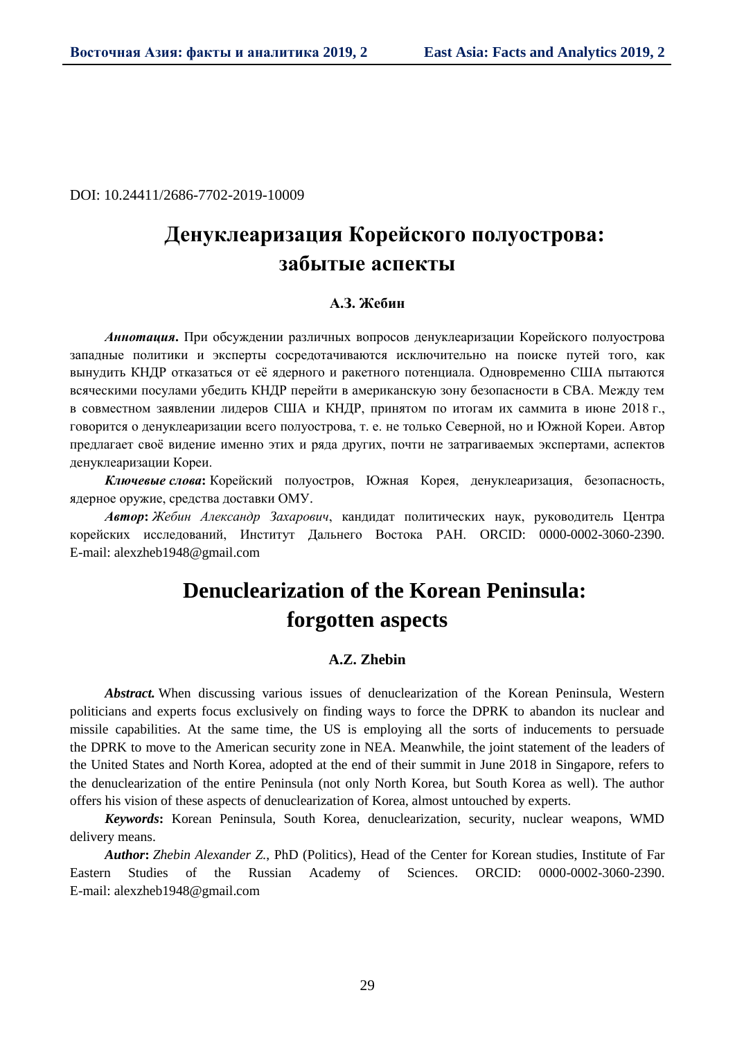DOI: 10.24411/2686-7702-2019-10009

# **Денуклеаризация Корейского полуострова: забытые аспекты**

## **А.З. Жебин**

*Аннотация***.** При обсуждении различных вопросов денуклеаризации Корейского полуострова западные политики и эксперты сосредотачиваются исключительно на поиске путей того, как вынудить КНДР отказаться от её ядерного и ракетного потенциала. Одновременно США пытаются всяческими посулами убедить КНДР перейти в американскую зону безопасности в СВА. Между тем в совместном заявлении лидеров США и КНДР, принятом по итогам их саммита в июне 2018 г., говорится о денуклеаризации всего полуострова, т. е. не только Северной, но и Южной Кореи. Автор предлагает своё видение именно этих и ряда других, почти не затрагиваемых экспертами, аспектов денуклеаризации Кореи.

*Ключевые слова***:** Корейский полуостров, Южная Корея, денуклеаризация, безопасность, ядерное оружие, средства доставки ОМУ.

*Автор***:** *Жебин Александр Захарович*, кандидат политических наук, руководитель Центра корейских исследований, Институт Дальнего Востока РАН. ORCID: 0000-0002-3060-2390. E-mail: alexzheb1948@gmail.com

# **Denuclearization of the Korean Peninsula: forgotten aspects**

### **A.Z. Zhebin**

*Abstract.* When discussing various issues of denuclearization of the Korean Peninsula, Western politicians and experts focus exclusively on finding ways to force the DPRK to abandon its nuclear and missile capabilities. At the same time, the US is employing all the sorts of inducements to persuade the DPRK to move to the American security zone in NEA. Meanwhile, the joint statement of the leaders of the United States and North Korea, adopted at the end of their summit in June 2018 in Singapore, refers to the denuclearization of the entire Peninsula (not only North Korea, but South Korea as well). The author offers his vision of these aspects of denuclearization of Korea, almost untouched by experts.

*Keywords***:** Korean Peninsula, South Korea, denuclearization, security, nuclear weapons, WMD delivery means.

*Author***:** *Zhebin Alexander Z.*, PhD (Politics), Head of the Center for Korean studies, Institute of Far Eastern Studies of the Russian Academy of Sciences. ORCID: 0000-0002-3060-2390. E-mail: alexzheb1948@gmail.com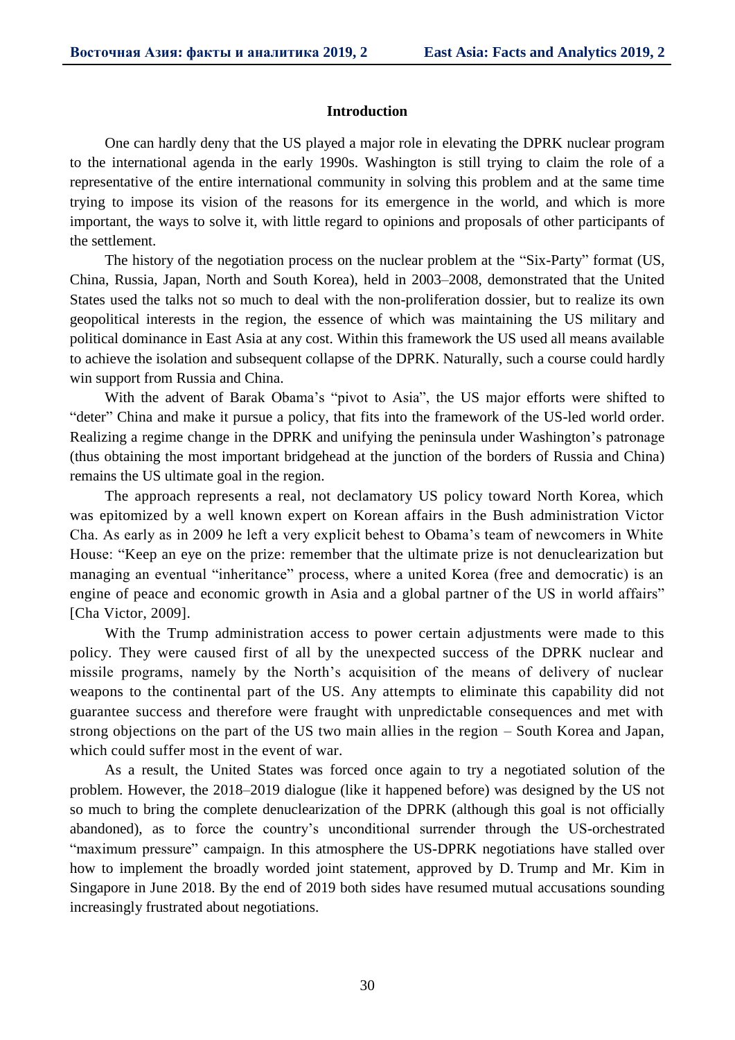### **Introduction**

One can hardly deny that the US played a major role in elevating the DPRK nuclear program to the international agenda in the early 1990s. Washington is still trying to claim the role of a representative of the entire international community in solving this problem and at the same time trying to impose its vision of the reasons for its emergence in the world, and which is more important, the ways to solve it, with little regard to opinions and proposals of other participants of the settlement.

The history of the negotiation process on the nuclear problem at the "Six-Party" format (US, China, Russia, Japan, North and South Korea), held in 2003–2008, demonstrated that the United States used the talks not so much to deal with the non-proliferation dossier, but to realize its own geopolitical interests in the region, the essence of which was maintaining the US military and political dominance in East Asia at any cost. Within this framework the US used all means available to achieve the isolation and subsequent collapse of the DPRK. Naturally, such a course could hardly win support from Russia and China.

With the advent of Barak Obama's "pivot to Asia", the US major efforts were shifted to "deter" China and make it pursue a policy, that fits into the framework of the US-led world order. Realizing a regime change in the DPRK and unifying the peninsula under Washington's patronage (thus obtaining the most important bridgehead at the junction of the borders of Russia and China) remains the US ultimate goal in the region.

The approach represents a real, not declamatory US policy toward North Korea, which was epitomized by a well known expert on Korean affairs in the Bush administration Victor Cha. As early as in 2009 he left a very explicit behest to Obama's team of newcomers in White House: "Keep an eye on the prize: remember that the ultimate prize is not denuclearization but managing an eventual "inheritance" process, where a united Korea (free and democratic) is an engine of peace and economic growth in Asia and a global partner of the US in world affairs" [Cha Victor, 2009].

With the Trump administration access to power certain adjustments were made to this policy. They were caused first of all by the unexpected success of the DPRK nuclear and missile programs, namely by the North's acquisition of the means of delivery of nuclear weapons to the continental part of the US. Any attempts to eliminate this capability did not guarantee success and therefore were fraught with unpredictable consequences and met with strong objections on the part of the US two main allies in the region – South Korea and Japan, which could suffer most in the event of war.

As a result, the United States was forced once again to try a negotiated solution of the problem. However, the 2018–2019 dialogue (like it happened before) was designed by the US not so much to bring the complete denuclearization of the DPRK (although this goal is not officially abandoned), as to force the country's unconditional surrender through the US-orchestrated "maximum pressure" campaign. In this atmosphere the US-DPRK negotiations have stalled over how to implement the broadly worded joint statement, approved by D. Trump and Mr. Kim in Singapore in June 2018. By the end of 2019 both sides have resumed mutual accusations sounding increasingly frustrated about negotiations.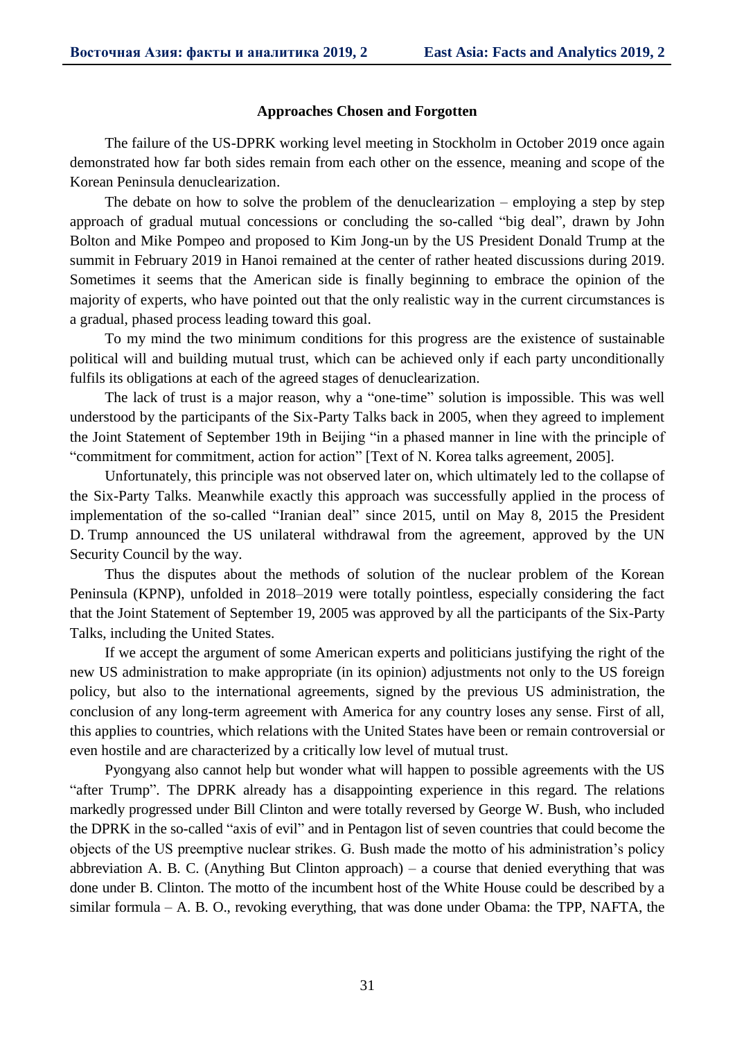#### **Approaches Chosen and Forgotten**

The failure of the US-DPRK working level meeting in Stockholm in October 2019 once again demonstrated how far both sides remain from each other on the essence, meaning and scope of the Korean Peninsula denuclearization.

The debate on how to solve the problem of the denuclearization – employing a step by step approach of gradual mutual concessions or concluding the so-called "big deal", drawn by John Bolton and Mike Pompeo and proposed to Kim Jong-un by the US President Donald Trump at the summit in February 2019 in Hanoi remained at the center of rather heated discussions during 2019. Sometimes it seems that the American side is finally beginning to embrace the opinion of the majority of experts, who have pointed out that the only realistic way in the current circumstances is a gradual, phased process leading toward this goal.

To my mind the two minimum conditions for this progress are the existence of sustainable political will and building mutual trust, which can be achieved only if each party unconditionally fulfils its obligations at each of the agreed stages of denuclearization.

The lack of trust is a major reason, why a "one-time" solution is impossible. This was well understood by the participants of the Six-Party Talks back in 2005, when they agreed to implement the Joint Statement of September 19th in Beijing "in a phased manner in line with the principle of "commitment for commitment, action for action" [Text of N. Korea talks agreement, 2005].

Unfortunately, this principle was not observed later on, which ultimately led to the collapse of the Six-Party Talks. Meanwhile exactly this approach was successfully applied in the process of implementation of the so-called "Iranian deal" since 2015, until on May 8, 2015 the President D. Trump announced the US unilateral withdrawal from the agreement, approved by the UN Security Council by the way.

Thus the disputes about the methods of solution of the nuclear problem of the Korean Peninsula (KPNP), unfolded in 2018–2019 were totally pointless, especially considering the fact that the Joint Statement of September 19, 2005 was approved by all the participants of the Six-Party Talks, including the United States.

If we accept the argument of some American experts and politicians justifying the right of the new US administration to make appropriate (in its opinion) adjustments not only to the US foreign policy, but also to the international agreements, signed by the previous US administration, the conclusion of any long-term agreement with America for any country loses any sense. First of all, this applies to countries, which relations with the United States have been or remain controversial or even hostile and are characterized by a critically low level of mutual trust.

Pyongyang also cannot help but wonder what will happen to possible agreements with the US "after Trump". The DPRK already has a disappointing experience in this regard. The relations markedly progressed under Bill Clinton and were totally reversed by George W. Bush, who included the DPRK in the so-called "axis of evil" and in Pentagon list of seven countries that could become the objects of the US preemptive nuclear strikes. G. Bush made the motto of his administration's policy abbreviation A. B. C. (Anything But Clinton approach) – a course that denied everything that was done under B. Clinton. The motto of the incumbent host of the White House could be described by a similar formula – A. B. O., revoking everything, that was done under Obama: the TPP, NAFTA, the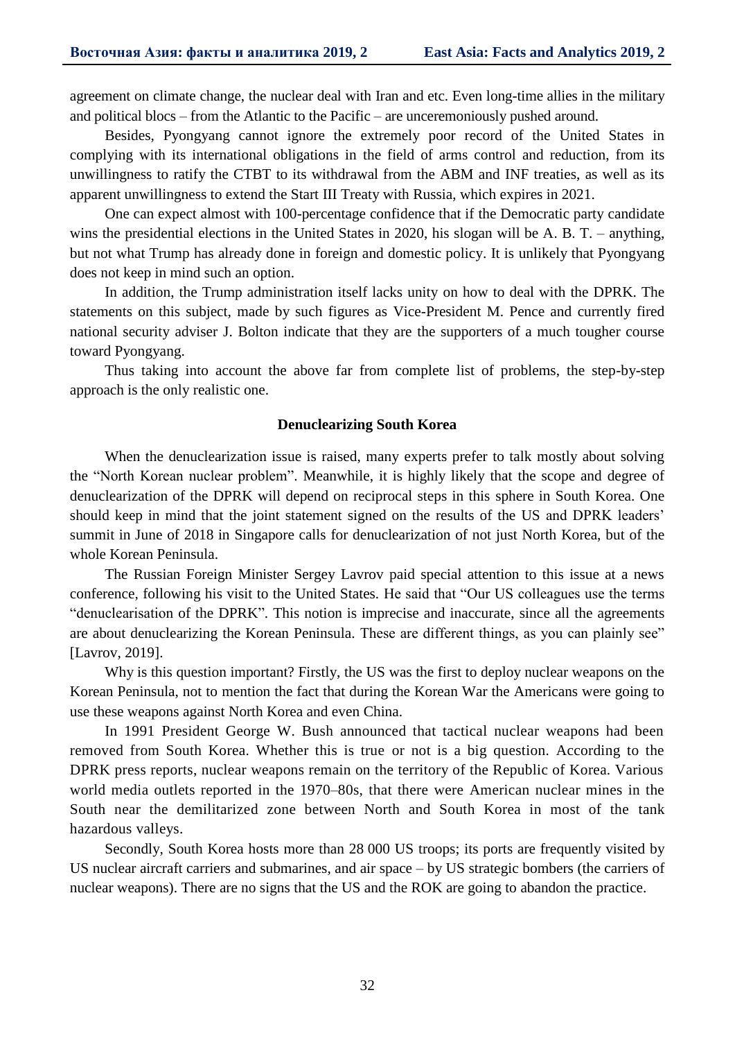agreement on climate change, the nuclear deal with Iran and etc. Even long-time allies in the military and political blocs – from the Atlantic to the Pacific – are unceremoniously pushed around.

Besides, Pyongyang cannot ignore the extremely poor record of the United States in complying with its international obligations in the field of arms control and reduction, from its unwillingness to ratify the CTBT to its withdrawal from the ABM and INF treaties, as well as its apparent unwillingness to extend the Start III Treaty with Russia, which expires in 2021.

One can expect almost with 100-percentage confidence that if the Democratic party candidate wins the presidential elections in the United States in 2020, his slogan will be A. B. T. – anything, but not what Trump has already done in foreign and domestic policy. It is unlikely that Pyongyang does not keep in mind such an option.

In addition, the Trump administration itself lacks unity on how to deal with the DPRK. The statements on this subject, made by such figures as Vice-President M. Pence and currently fired national security adviser J. Bolton indicate that they are the supporters of a much tougher course toward Pyongyang.

Thus taking into account the above far from complete list of problems, the step-by-step approach is the only realistic one.

#### **Denuclearizing South Korea**

When the denuclearization issue is raised, many experts prefer to talk mostly about solving the "North Korean nuclear problem". Meanwhile, it is highly likely that the scope and degree of denuclearization of the DPRK will depend on reciprocal steps in this sphere in South Korea. One should keep in mind that the joint statement signed on the results of the US and DPRK leaders' summit in June of 2018 in Singapore calls for denuclearization of not just North Korea, but of the whole Korean Peninsula.

The Russian Foreign Minister Sergey Lavrov paid special attention to this issue at a news conference, following his visit to the United States. He said that "Our US colleagues use the terms "denuclearisation of the DPRK". This notion is imprecise and inaccurate, since all the agreements are about denuclearizing the Korean Peninsula. These are different things, as you can plainly see" [Lavrov, 2019].

Why is this question important? Firstly, the US was the first to deploy nuclear weapons on the Korean Peninsula, not to mention the fact that during the Korean War the Americans were going to use these weapons against North Korea and even China.

In 1991 President George W. Bush announced that tactical nuclear weapons had been removed from South Korea. Whether this is true or not is a big question. According to the DPRK press reports, nuclear weapons remain on the territory of the Republic of Korea. Various world media outlets reported in the 1970–80s, that there were American nuclear mines in the South near the demilitarized zone between North and South Korea in most of the tank hazardous valleys.

Secondly, South Korea hosts more than 28 000 US troops; its ports are frequently visited by US nuclear aircraft carriers and submarines, and air space – by US strategic bombers (the carriers of nuclear weapons). There are no signs that the US and the ROK are going to abandon the practice.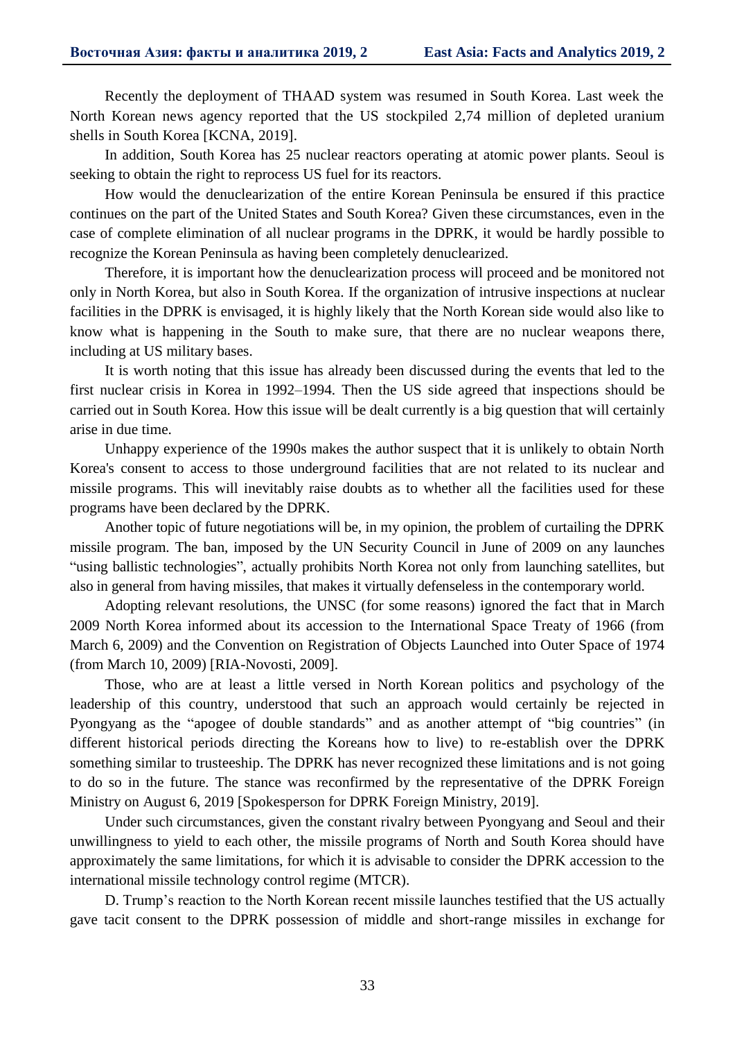Recently the deployment of THAAD system was resumed in South Korea. Last week the North Korean news agency reported that the US stockpiled 2,74 million of depleted uranium shells in South Korea [KCNA, 2019].

In addition, South Korea has 25 nuclear reactors operating at atomic power plants. Seoul is seeking to obtain the right to reprocess US fuel for its reactors.

How would the denuclearization of the entire Korean Peninsula be ensured if this practice continues on the part of the United States and South Korea? Given these circumstances, even in the case of complete elimination of all nuclear programs in the DPRK, it would be hardly possible to recognize the Korean Peninsula as having been completely denuclearized.

Therefore, it is important how the denuclearization process will proceed and be monitored not only in North Korea, but also in South Korea. If the organization of intrusive inspections at nuclear facilities in the DPRK is envisaged, it is highly likely that the North Korean side would also like to know what is happening in the South to make sure, that there are no nuclear weapons there, including at US military bases.

It is worth noting that this issue has already been discussed during the events that led to the first nuclear crisis in Korea in 1992–1994. Then the US side agreed that inspections should be carried out in South Korea. How this issue will be dealt currently is a big question that will certainly arise in due time.

Unhappy experience of the 1990s makes the author suspect that it is unlikely to obtain North Korea's consent to access to those underground facilities that are not related to its nuclear and missile programs. This will inevitably raise doubts as to whether all the facilities used for these programs have been declared by the DPRK.

Another topic of future negotiations will be, in my opinion, the problem of curtailing the DPRK missile program. The ban, imposed by the UN Security Council in June of 2009 on any launches "using ballistic technologies", actually prohibits North Korea not only from launching satellites, but also in general from having missiles, that makes it virtually defenseless in the contemporary world.

Adopting relevant resolutions, the UNSC (for some reasons) ignored the fact that in March 2009 North Korea informed about its accession to the International Space Treaty of 1966 (from March 6, 2009) and the Convention on Registration of Objects Launched into Outer Space of 1974 (from March 10, 2009) [RIA-Novosti, 2009].

Those, who are at least a little versed in North Korean politics and psychology of the leadership of this country, understood that such an approach would certainly be rejected in Pyongyang as the "apogee of double standards" and as another attempt of "big countries" (in different historical periods directing the Koreans how to live) to re-establish over the DPRK something similar to trusteeship. The DPRK has never recognized these limitations and is not going to do so in the future. The stance was reconfirmed by the representative of the DPRK Foreign Ministry on August 6, 2019 [Spokesperson for DPRK Foreign Ministry, 2019].

Under such circumstances, given the constant rivalry between Pyongyang and Seoul and their unwillingness to yield to each other, the missile programs of North and South Korea should have approximately the same limitations, for which it is advisable to consider the DPRK accession to the international missile technology control regime (MTCR).

D. Trump's reaction to the North Korean recent missile launches testified that the US actually gave tacit consent to the DPRK possession of middle and short-range missiles in exchange for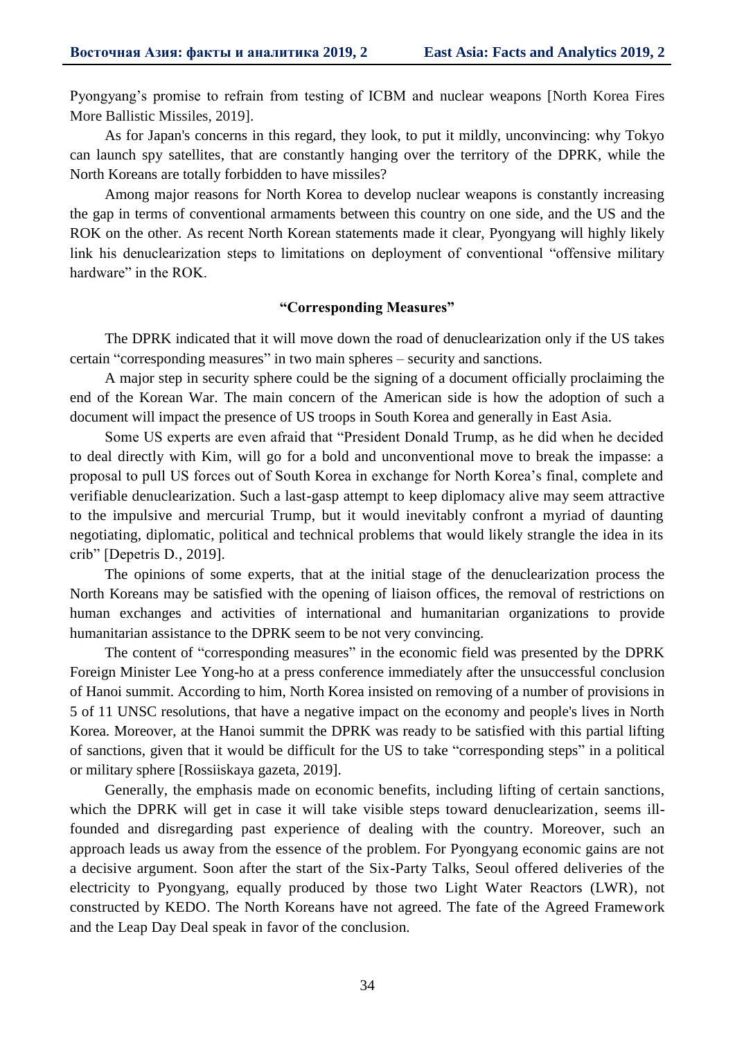Pyongyang's promise to refrain from testing of ICBM and nuclear weapons [North Korea Fires More Ballistic Missiles, 2019].

As for Japan's concerns in this regard, they look, to put it mildly, unconvincing: why Tokyo can launch spy satellites, that are constantly hanging over the territory of the DPRK, while the North Koreans are totally forbidden to have missiles?

Among major reasons for North Korea to develop nuclear weapons is constantly increasing the gap in terms of conventional armaments between this country on one side, and the US and the ROK on the other. As recent North Korean statements made it clear, Pyongyang will highly likely link his denuclearization steps to limitations on deployment of conventional "offensive military hardware" in the ROK.

### **"Corresponding Measures"**

The DPRK indicated that it will move down the road of denuclearization only if the US takes certain "corresponding measures" in two main spheres – security and sanctions.

A major step in security sphere could be the signing of a document officially proclaiming the end of the Korean War. The main concern of the American side is how the adoption of such a document will impact the presence of US troops in South Korea and generally in East Asia.

Some US experts are even afraid that "President Donald Trump, as he did when he decided to deal directly with Kim, will go for a bold and unconventional move to break the impasse: a proposal to pull US forces out of South Korea in exchange for North Korea's final, complete and verifiable denuclearization. Such a last-gasp attempt to keep diplomacy alive may seem attractive to the impulsive and mercurial Trump, but it would inevitably confront a myriad of daunting negotiating, diplomatic, political and technical problems that would likely strangle the idea in its crib" [Depetris D., 2019].

The opinions of some experts, that at the initial stage of the denuclearization process the North Koreans may be satisfied with the opening of liaison offices, the removal of restrictions on human exchanges and activities of international and humanitarian organizations to provide humanitarian assistance to the DPRK seem to be not very convincing.

The content of "corresponding measures" in the economic field was presented by the DPRK Foreign Minister Lee Yong-ho at a press conference immediately after the unsuccessful conclusion of Hanoi summit. According to him, North Korea insisted on removing of a number of provisions in 5 of 11 UNSC resolutions, that have a negative impact on the economy and people's lives in North Korea. Moreover, at the Hanoi summit the DPRK was ready to be satisfied with this partial lifting of sanctions, given that it would be difficult for the US to take "corresponding steps" in a political or military sphere [Rossiiskaya gazeta, 2019].

Generally, the emphasis made on economic benefits, including lifting of certain sanctions, which the DPRK will get in case it will take visible steps toward denuclearization, seems illfounded and disregarding past experience of dealing with the country. Moreover, such an approach leads us away from the essence of the problem. For Pyongyang economic gains are not a decisive argument. Soon after the start of the Six-Party Talks, Seoul offered deliveries of the electricity to Pyongyang, equally produced by those two Light Water Reactors (LWR), not constructed by KEDO. The North Koreans have not agreed. The fate of the Agreed Framework and the Leap Day Deal speak in favor of the conclusion.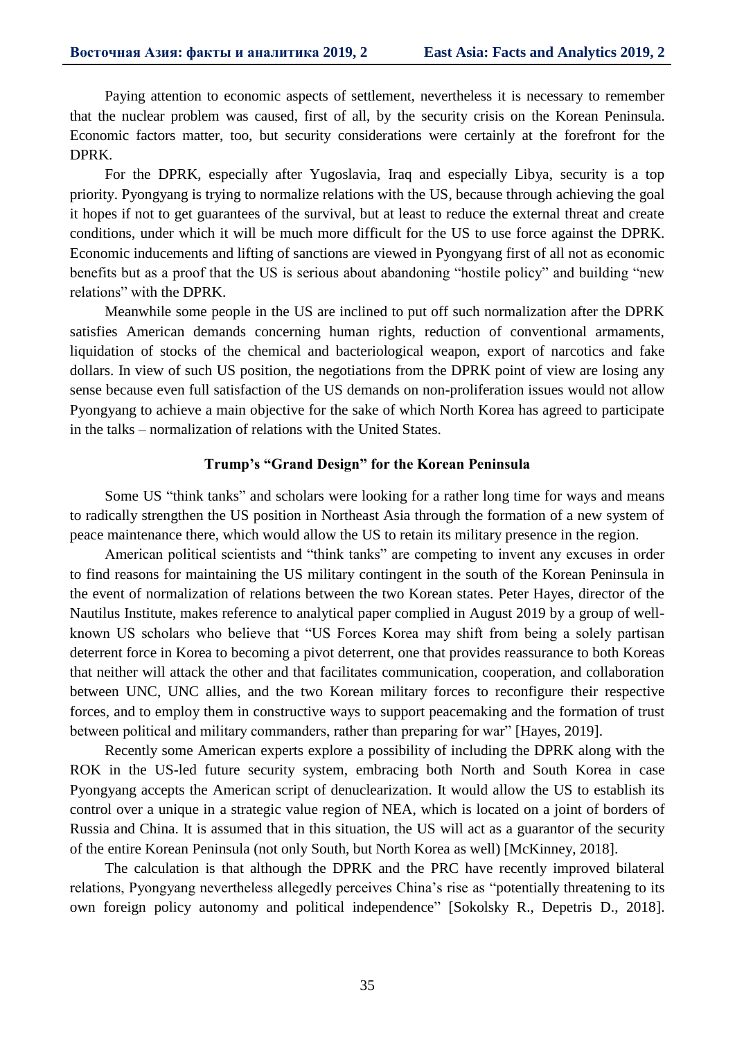Paying attention to economic aspects of settlement, nevertheless it is necessary to remember that the nuclear problem was caused, first of all, by the security crisis on the Korean Peninsula. Economic factors matter, too, but security considerations were certainly at the forefront for the DPRK.

For the DPRK, especially after Yugoslavia, Iraq and especially Libya, security is a top priority. Pyongyang is trying to normalize relations with the US, because through achieving the goal it hopes if not to get guarantees of the survival, but at least to reduce the external threat and create conditions, under which it will be much more difficult for the US to use force against the DPRK. Economic inducements and lifting of sanctions are viewed in Pyongyang first of all not as economic benefits but as a proof that the US is serious about abandoning "hostile policy" and building "new relations" with the DPRK.

Meanwhile some people in the US are inclined to put off such normalization after the DPRK satisfies American demands concerning human rights, reduction of conventional armaments, liquidation of stocks of the chemical and bacteriological weapon, export of narcotics and fake dollars. In view of such US position, the negotiations from the DPRK point of view are losing any sense because even full satisfaction of the US demands on non-proliferation issues would not allow Pyongyang to achieve a main objective for the sake of which North Korea has agreed to participate in the talks – normalization of relations with the United States.

#### **Trump's "Grand Design" for the Korean Peninsula**

Some US "think tanks" and scholars were looking for a rather long time for ways and means to radically strengthen the US position in Northeast Asia through the formation of a new system of peace maintenance there, which would allow the US to retain its military presence in the region.

American political scientists and "think tanks" are competing to invent any excuses in order to find reasons for maintaining the US military contingent in the south of the Korean Peninsula in the event of normalization of relations between the two Korean states. Peter Hayes, director of the Nautilus Institute, makes reference to analytical paper complied in August 2019 by a group of wellknown US scholars who believe that "US Forces Korea may shift from being a solely partisan deterrent force in Korea to becoming a pivot deterrent, one that provides reassurance to both Koreas that neither will attack the other and that facilitates communication, cooperation, and collaboration between UNC, UNC allies, and the two Korean military forces to reconfigure their respective forces, and to employ them in constructive ways to support peacemaking and the formation of trust between political and military commanders, rather than preparing for war" [Hayes, 2019].

Recently some American experts explore a possibility of including the DPRK along with the ROK in the US-led future security system, embracing both North and South Korea in case Pyongyang accepts the American script of denuclearization. It would allow the US to establish its control over a unique in a strategic value region of NEA, which is located on a joint of borders of Russia and China. It is assumed that in this situation, the US will act as a guarantor of the security of the entire Korean Peninsula (not only South, but North Korea as well) [McKinney, 2018].

The calculation is that although the DPRK and the PRC have recently improved bilateral relations, Pyongyang nevertheless allegedly perceives China's rise as "potentially threatening to its own foreign policy autonomy and political independence" [Sokolsky R., Depetris D., 2018].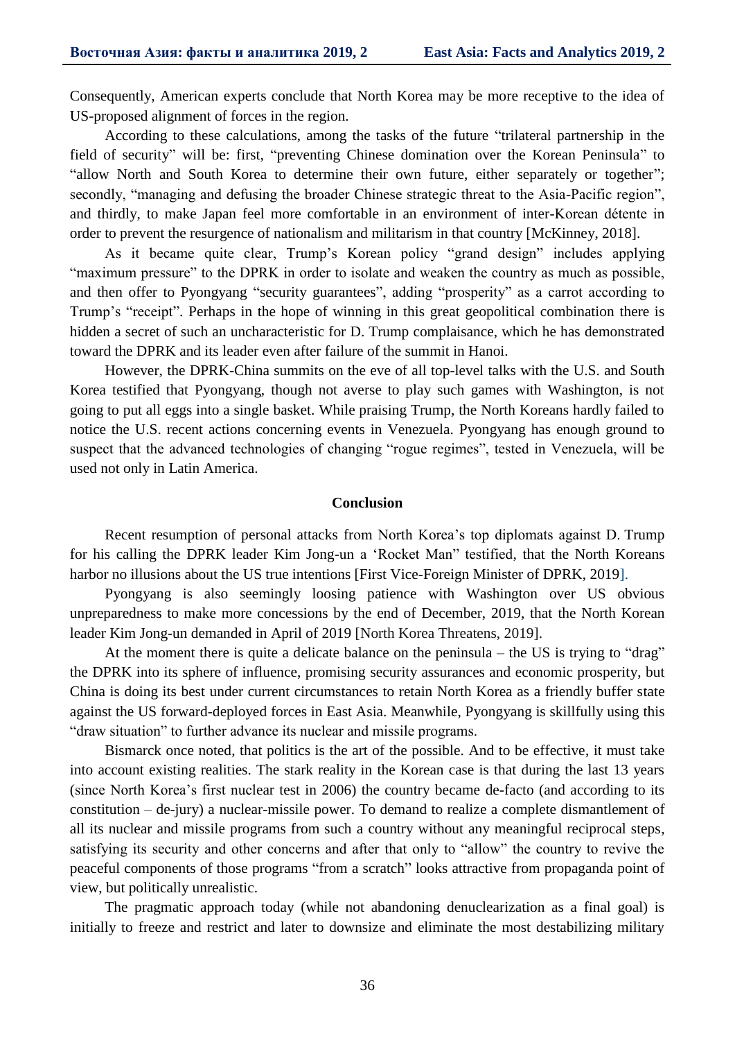Consequently, American experts conclude that North Korea may be more receptive to the idea of US-proposed alignment of forces in the region.

According to these calculations, among the tasks of the future "trilateral partnership in the field of security" will be: first, "preventing Chinese domination over the Korean Peninsula" to "allow North and South Korea to determine their own future, either separately or together"; secondly, "managing and defusing the broader Chinese strategic threat to the Asia-Pacific region", and thirdly, to make Japan feel more comfortable in an environment of inter-Korean détente in order to prevent the resurgence of nationalism and militarism in that country [McKinney, 2018].

As it became quite clear, Trump's Korean policy "grand design" includes applying "maximum pressure" to the DPRK in order to isolate and weaken the country as much as possible, and then offer to Pyongyang "security guarantees", adding "prosperity" as a carrot according to Trump's "receipt". Perhaps in the hope of winning in this great geopolitical combination there is hidden a secret of such an uncharacteristic for D. Trump complaisance, which he has demonstrated toward the DPRK and its leader even after failure of the summit in Hanoi.

However, the DPRK-China summits on the eve of all top-level talks with the U.S. and South Korea testified that Pyongyang, though not averse to play such games with Washington, is not going to put all eggs into a single basket. While praising Trump, the North Koreans hardly failed to notice the U.S. recent actions concerning events in Venezuela. Pyongyang has enough ground to suspect that the advanced technologies of changing "rogue regimes", tested in Venezuela, will be used not only in Latin America.

#### **Conclusion**

Recent resumption of personal attacks from North Korea's top diplomats against D. Trump for his calling the DPRK leader Kim Jong-un a 'Rocket Man" testified, that the North Koreans harbor no illusions about the US true intentions [First Vice-Foreign Minister of DPRK, 2019].

Pyongyang is also seemingly loosing patience with Washington over US obvious unpreparedness to make more concessions by the end of December, 2019, that the North Korean leader Kim Jong-un demanded in April of 2019 [North Korea Threatens, 2019].

At the moment there is quite a delicate balance on the peninsula – the US is trying to "drag" the DPRK into its sphere of influence, promising security assurances and economic prosperity, but China is doing its best under current circumstances to retain North Korea as a friendly buffer state against the US forward-deployed forces in East Asia. Meanwhile, Pyongyang is skillfully using this "draw situation" to further advance its nuclear and missile programs.

Bismarck once noted, that politics is the art of the possible. And to be effective, it must take into account existing realities. The stark reality in the Korean case is that during the last 13 years (since North Korea's first nuclear test in 2006) the country became de-facto (and according to its constitution – de-jury) a nuclear-missile power. To demand to realize a complete dismantlement of all its nuclear and missile programs from such a country without any meaningful reciprocal steps, satisfying its security and other concerns and after that only to "allow" the country to revive the peaceful components of those programs "from a scratch" looks attractive from propaganda point of view, but politically unrealistic.

The pragmatic approach today (while not abandoning denuclearization as a final goal) is initially to freeze and restrict and later to downsize and eliminate the most destabilizing military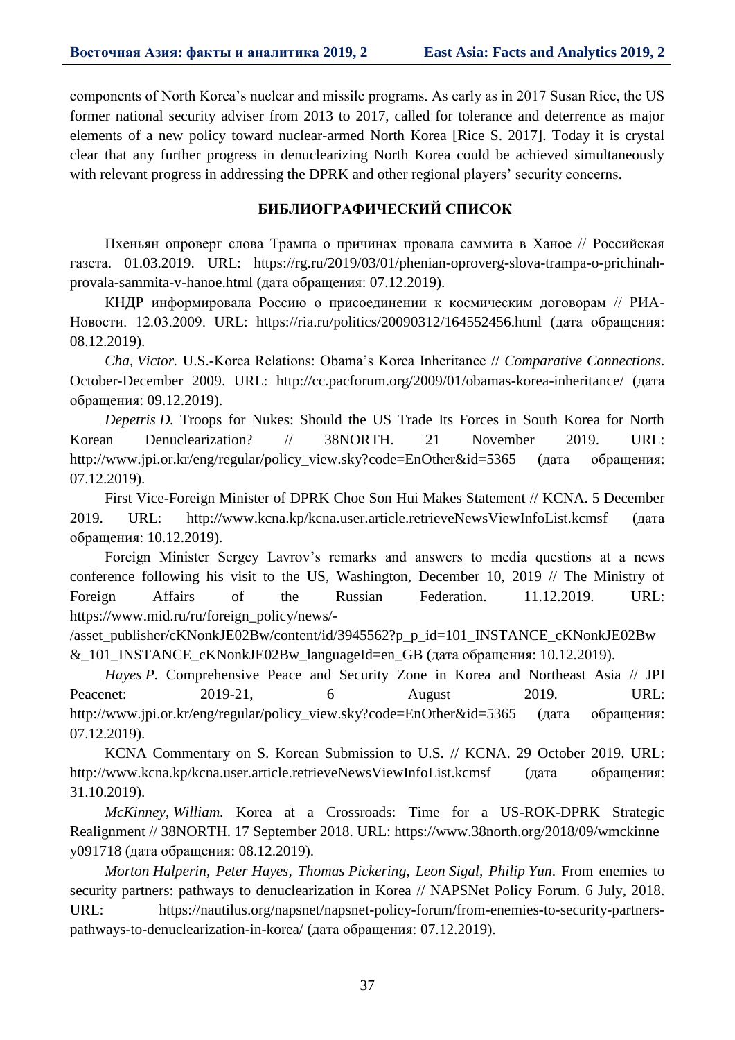components of North Korea's nuclear and missile programs. As early as in 2017 Susan Rice, the US former national security adviser from 2013 to 2017, called for tolerance and deterrence as major elements of a new policy toward nuclear-armed North Korea [Rice S. 2017]. Today it is crystal clear that any further progress in denuclearizing North Korea could be achieved simultaneously with relevant progress in addressing the DPRK and other regional players' security concerns.

# **БИБЛИОГРАФИЧЕСКИЙ СПИСОК**

Пхеньян опроверг слова Трампа о причинах провала саммита в Ханое // Российская газета. 01.03.2019. URL: https://rg.ru/2019/03/01/phenian-oproverg-slova-trampa-o-prichinahprovala-sammita-v-hanoe.html (дата обращения: 07.12.2019).

КНДР информировала Россию о присоединении к космическим договорам // РИА-Новости. 12.03.2009. URL: https://ria.ru/politics/20090312/164552456.html (дата обращения: 08.12.2019).

*Cha, Victor.* U.S.-Korea Relations: Obama's Korea Inheritance // *Comparative Connections*. October-December 2009. URL: http://cc.pacforum.org/2009/01/obamas-korea-inheritance/ (дата обращения: 09.12.2019).

*Depetris D.* Troops for Nukes: Should the US Trade Its Forces in South Korea for North Korean Denuclearization? // 38NORTH. 21 November 2019. URL: http://www.jpi.or.kr/eng/regular/policy\_view.sky?code=EnOther&id=5365 (дата обращения: 07.12.2019).

First Vice-Foreign Minister of DPRK Choe Son Hui Makes Statement // KCNA. 5 December 2019. URL: http://www.kcna.kp/kcna.user.article.retrieveNewsViewInfoList.kcmsf (дата обращения: 10.12.2019).

Foreign Minister Sergey Lavrov's remarks and answers to media questions at a news conference following his visit to the US, Washington, December 10, 2019 // The Ministry of Foreign Affairs of the Russian Federation. 11.12.2019. URL: https://www.mid.ru/ru/foreign\_policy/news/-

/asset\_publisher/cKNonkJE02Bw/content/id/3945562?p\_p\_id=101\_INSTANCE\_cKNonkJE02Bw & 101 INSTANCE cKNonkJE02Bw languageId=en GB (дата обращения: 10.12.2019).

*Hayes P.* Comprehensive Peace and Security Zone in Korea and Northeast Asia // JPI Peacenet: 2019-21, 6 August 2019. URL: http://www.jpi.or.kr/eng/regular/policy\_view.sky?code=EnOther&id=5365 (дата обращения: 07.12.2019).

KCNA Commentary on S. Korean Submission to U.S. // KCNA. 29 October 2019. URL: http://www.kcna.kp/kcna.user.article.retrieveNewsViewInfoList.kcmsf (дата обращения: 31.10.2019).

*McKinney, William.* Korea at a Crossroads: Time for a US-ROK-DPRK Strategic Realignment // 38NORTH. 17 September 2018. URL: https://www.38north.org/2018/09/wmckinne y091718 (дата обращения: 08.12.2019).

*Morton Halperin, Peter Hayes, Thomas Pickering, Leon Sigal, Philip Yun*. From enemies to security partners: pathways to denuclearization in Korea // NAPSNet Policy Forum. 6 July, 2018. URL: https://nautilus.org/napsnet/napsnet-policy-forum/from-enemies-to-security-partnerspathways-to-denuclearization-in-korea/ (дата обращения: 07.12.2019).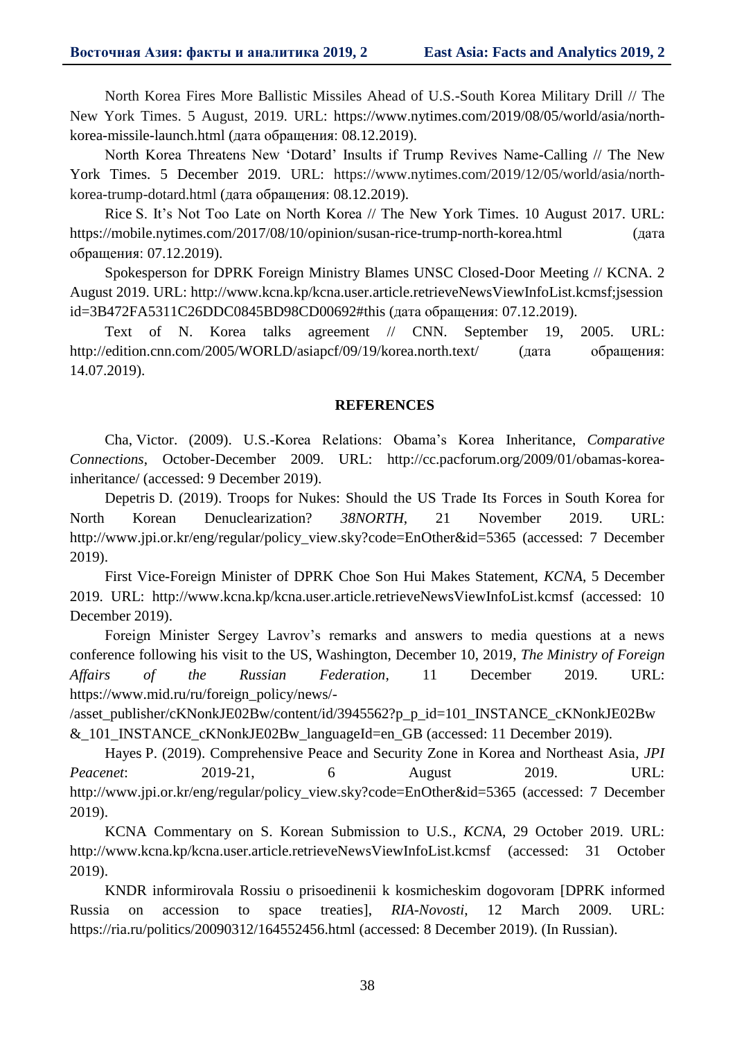North Korea Fires More Ballistic Missiles Ahead of U.S.-South Korea Military Drill // The New York Times. 5 August, 2019. URL: https://www.nytimes.com/2019/08/05/world/asia/northkorea-missile-launch.html (дата обращения: 08.12.2019).

North Korea Threatens New 'Dotard' Insults if Trump Revives Name-Calling // The New York Times. 5 December 2019. URL: https://www.nytimes.com/2019/12/05/world/asia/northkorea-trump-dotard.html (дата обращения: 08.12.2019).

Rice S. It's Not Too Late on North Korea // The New York Times. 10 August 2017. URL: https://mobile.nytimes.com/2017/08/10/opinion/susan-rice-trump-north-korea.html (дата обращения: 07.12.2019).

Spokesperson for DPRK Foreign Ministry Blames UNSC Closed-Door Meeting // KCNA. 2 August 2019. URL: http://www.kcna.kp/kcna.user.article.retrieveNewsViewInfoList.kcmsf;jsession id=3B472FA5311C26DDC0845BD98CD00692#this (дата обращения: 07.12.2019).

Text of N. Korea talks agreement // CNN. September 19, 2005. URL: http://edition.cnn.com/2005/WORLD/asiapcf/09/19/korea.north.text/ (дата обращения: 14.07.2019).

#### **REFERENCES**

Cha, Victor. (2009). U.S.-Korea Relations: Obama's Korea Inheritance, *Comparative Connections*, October-December 2009. URL: http://cc.pacforum.org/2009/01/obamas-koreainheritance/ (accessed: 9 December 2019).

Depetris D. (2019). Troops for Nukes: Should the US Trade Its Forces in South Korea for North Korean Denuclearization? *38NORTH*, 21 November 2019. URL: http://www.jpi.or.kr/eng/regular/policy\_view.sky?code=EnOther&id=5365 (accessed: 7 December 2019).

First Vice-Foreign Minister of DPRK Choe Son Hui Makes Statement, *KCNA*, 5 December 2019. URL: http://www.kcna.kp/kcna.user.article.retrieveNewsViewInfoList.kcmsf (accessed: 10 December 2019).

Foreign Minister Sergey Lavrov's remarks and answers to media questions at a news conference following his visit to the US, Washington, December 10, 2019, *The Ministry of Foreign Affairs of the Russian Federation*, 11 December 2019. URL: https://www.mid.ru/ru/foreign\_policy/news/-

/asset\_publisher/cKNonkJE02Bw/content/id/3945562?p\_p\_id=101\_INSTANCE\_cKNonkJE02Bw &\_101\_INSTANCE\_cKNonkJE02Bw\_languageId=en\_GB (accessed: 11 December 2019).

Hayes P. (2019). Comprehensive Peace and Security Zone in Korea and Northeast Asia, *JPI Peacenet*: 2019-21, 6 August 2019. URL: http://www.jpi.or.kr/eng/regular/policy\_view.sky?code=EnOther&id=5365 (accessed: 7 December 2019).

KCNA Commentary on S. Korean Submission to U.S., *KCNA*, 29 October 2019. URL: http://www.kcna.kp/kcna.user.article.retrieveNewsViewInfoList.kcmsf (accessed: 31 October 2019).

KNDR informirovala Rossiu o prisoedinenii k kosmicheskim dogovoram [DPRK informed Russia on accession to space treaties], *RIA-Novosti*, 12 March 2009. URL: https://ria.ru/politics/20090312/164552456.html (accessed: 8 December 2019). (In Russian).